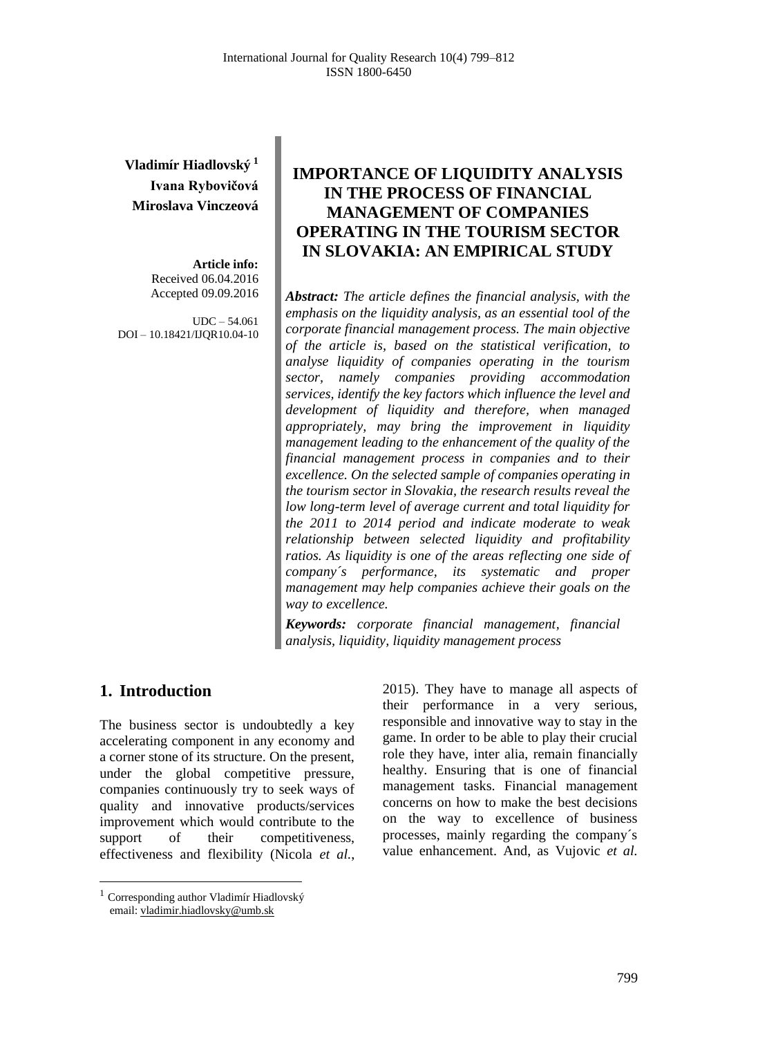# **Vladimír Hiadlovský <sup>1</sup> Ivana Rybovičová Miroslava Vinczeová**

**Article info:** Received 06.04.2016 Accepted 09.09.2016

UDC – 54.061 DOI – 10.18421/IJQR10.04-10

# **IMPORTANCE OF LIQUIDITY ANALYSIS IN THE PROCESS OF FINANCIAL MANAGEMENT OF COMPANIES OPERATING IN THE TOURISM SECTOR IN SLOVAKIA: AN EMPIRICAL STUDY**

*Abstract: The article defines the financial analysis, with the emphasis on the liquidity analysis, as an essential tool of the corporate financial management process. The main objective of the article is, based on the statistical verification, to analyse liquidity of companies operating in the tourism sector, namely companies providing accommodation services, identify the key factors which influence the level and development of liquidity and therefore, when managed appropriately, may bring the improvement in liquidity management leading to the enhancement of the quality of the financial management process in companies and to their excellence. On the selected sample of companies operating in the tourism sector in Slovakia, the research results reveal the low long-term level of average current and total liquidity for the 2011 to 2014 period and indicate moderate to weak relationship between selected liquidity and profitability ratios. As liquidity is one of the areas reflecting one side of company´s performance, its systematic and proper management may help companies achieve their goals on the way to excellence.*

*Keywords: corporate financial management, financial analysis, liquidity, liquidity management process*

### **1. Introduction<sup>1</sup>**

 $\overline{a}$ 

The business sector is undoubtedly a key accelerating component in any economy and a corner stone of its structure. On the present, under the global competitive pressure, companies continuously try to seek ways of quality and innovative products/services improvement which would contribute to the support of their competitiveness, effectiveness and flexibility (Nicola *et al.*,

2015). They have to manage all aspects of their performance in a very serious, responsible and innovative way to stay in the game. In order to be able to play their crucial role they have, inter alia, remain financially healthy. Ensuring that is one of financial management tasks. Financial management concerns on how to make the best decisions on the way to excellence of business processes, mainly regarding the company´s value enhancement. And, as Vujovic *et al.*

<sup>1</sup> Corresponding author Vladimír Hiadlovský email[: vladimir.hiadlovsky@umb.sk](mailto:vladimir.hiadlovsky@umb.sk)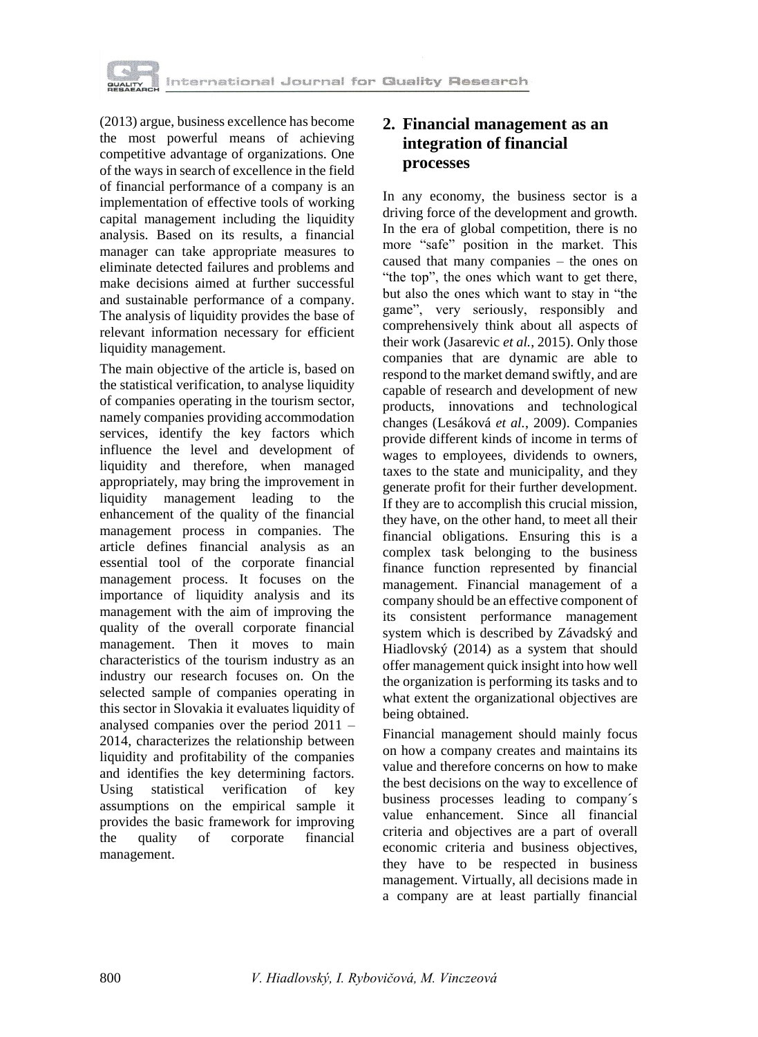

(2013) argue, business excellence has become the most powerful means of achieving competitive advantage of organizations. One of the ways in search of excellence in the field of financial performance of a company is an implementation of effective tools of working capital management including the liquidity analysis. Based on its results, a financial manager can take appropriate measures to eliminate detected failures and problems and make decisions aimed at further successful and sustainable performance of a company. The analysis of liquidity provides the base of relevant information necessary for efficient liquidity management.

The main objective of the article is, based on the statistical verification, to analyse liquidity of companies operating in the tourism sector, namely companies providing accommodation services, identify the key factors which influence the level and development of liquidity and therefore, when managed appropriately, may bring the improvement in liquidity management leading to the enhancement of the quality of the financial management process in companies. The article defines financial analysis as an essential tool of the corporate financial management process. It focuses on the importance of liquidity analysis and its management with the aim of improving the quality of the overall corporate financial management. Then it moves to main characteristics of the tourism industry as an industry our research focuses on. On the selected sample of companies operating in this sector in Slovakia it evaluates liquidity of analysed companies over the period 2011 – 2014, characterizes the relationship between liquidity and profitability of the companies and identifies the key determining factors. Using statistical verification of key assumptions on the empirical sample it provides the basic framework for improving the quality of corporate financial management.

# **2. Financial management as an integration of financial processes**

In any economy, the business sector is a driving force of the development and growth. In the era of global competition, there is no more "safe" position in the market. This caused that many companies – the ones on "the top", the ones which want to get there, but also the ones which want to stay in "the game", very seriously, responsibly and comprehensively think about all aspects of their work (Jasarevic *et al.*, 2015). Only those companies that are dynamic are able to respond to the market demand swiftly, and are capable of research and development of new products, innovations and technological changes (Lesáková *et al.*, 2009). Companies provide different kinds of income in terms of wages to employees, dividends to owners, taxes to the state and municipality, and they generate profit for their further development. If they are to accomplish this crucial mission, they have, on the other hand, to meet all their financial obligations. Ensuring this is a complex task belonging to the business finance function represented by financial management. Financial management of a company should be an effective component of its consistent performance management system which is described by Závadský and Hiadlovský (2014) as a system that should offer management quick insight into how well the organization is performing its tasks and to what extent the organizational objectives are being obtained.

Financial management should mainly focus on how a company creates and maintains its value and therefore concerns on how to make the best decisions on the way to excellence of business processes leading to company´s value enhancement. Since all financial criteria and objectives are a part of overall economic criteria and business objectives, they have to be respected in business management. Virtually, all decisions made in a company are at least partially financial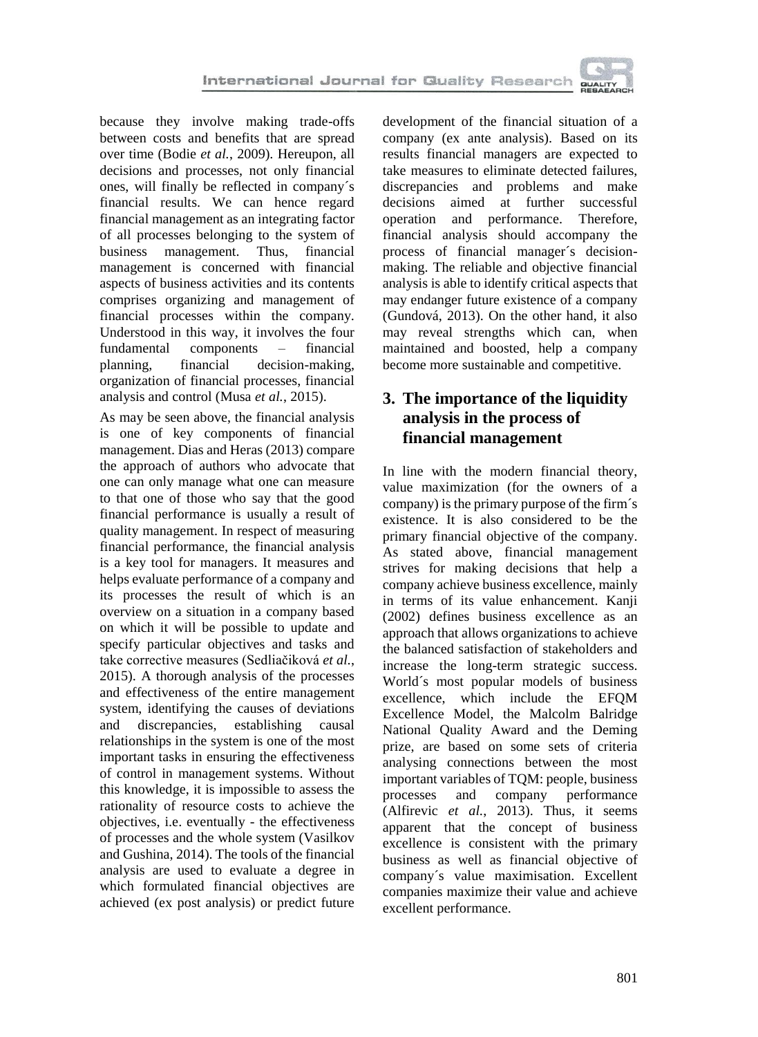because they involve making trade-offs between costs and benefits that are spread over time (Bodie *et al.*, 2009). Hereupon, all decisions and processes, not only financial ones, will finally be reflected in company´s financial results. We can hence regard financial management as an integrating factor of all processes belonging to the system of business management. Thus, financial management is concerned with financial aspects of business activities and its contents comprises organizing and management of financial processes within the company. Understood in this way, it involves the four fundamental components – financial planning, financial decision-making, organization of financial processes, financial analysis and control (Musa *et al.*, 2015).

As may be seen above, the financial analysis is one of key components of financial management. Dias and Heras (2013) compare the approach of authors who advocate that one can only manage what one can measure to that one of those who say that the good financial performance is usually a result of quality management. In respect of measuring financial performance, the financial analysis is a key tool for managers. It measures and helps evaluate performance of a company and its processes the result of which is an overview on a situation in a company based on which it will be possible to update and specify particular objectives and tasks and take corrective measures (Sedliačiková *et al.*, 2015). A thorough analysis of the processes and effectiveness of the entire management system, identifying the causes of deviations and discrepancies, establishing causal relationships in the system is one of the most important tasks in ensuring the effectiveness of control in management systems. Without this knowledge, it is impossible to assess the rationality of resource costs to achieve the objectives, i.e. eventually - the effectiveness of processes and the whole system (Vasilkov and Gushina, 2014). The tools of the financial analysis are used to evaluate a degree in which formulated financial objectives are achieved (ex post analysis) or predict future

development of the financial situation of a company (ex ante analysis). Based on its results financial managers are expected to take measures to eliminate detected failures, discrepancies and problems and make decisions aimed at further successful operation and performance. Therefore, financial analysis should accompany the process of financial manager´s decisionmaking. The reliable and objective financial analysis is able to identify critical aspects that may endanger future existence of a company (Gundová, 2013). On the other hand, it also may reveal strengths which can, when maintained and boosted, help a company become more sustainable and competitive.

# **3. The importance of the liquidity analysis in the process of financial management**

In line with the modern financial theory, value maximization (for the owners of a company) is the primary purpose of the firm´s existence. It is also considered to be the primary financial objective of the company. As stated above, financial management strives for making decisions that help a company achieve business excellence, mainly in terms of its value enhancement. Kanji (2002) defines business excellence as an approach that allows organizations to achieve the balanced satisfaction of stakeholders and increase the long-term strategic success. World´s most popular models of business excellence, which include the EFQM Excellence Model, the Malcolm Balridge National Quality Award and the Deming prize, are based on some sets of criteria analysing connections between the most important variables of TQM: people, business processes and company performance (Alfirevic *et al.*, 2013). Thus, it seems apparent that the concept of business excellence is consistent with the primary business as well as financial objective of company´s value maximisation. Excellent companies maximize their value and achieve excellent performance.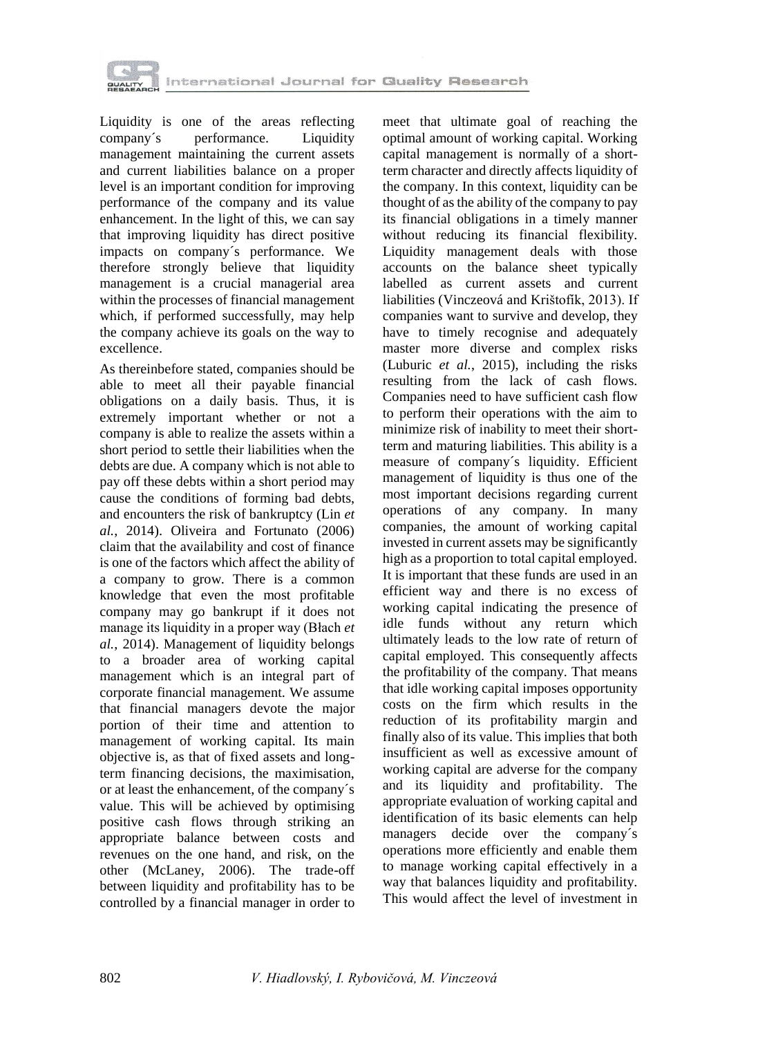

Liquidity is one of the areas reflecting company's performance. Liquidity management maintaining the current assets and current liabilities balance on a proper level is an important condition for improving performance of the company and its value enhancement. In the light of this, we can say that improving liquidity has direct positive impacts on company´s performance. We therefore strongly believe that liquidity management is a crucial managerial area within the processes of financial management which, if performed successfully, may help the company achieve its goals on the way to excellence.

As thereinbefore stated, companies should be able to meet all their payable financial obligations on a daily basis. Thus, it is extremely important whether or not a company is able to realize the assets within a short period to settle their liabilities when the debts are due. A company which is not able to pay off these debts within a short period may cause the conditions of forming bad debts, and encounters the risk of bankruptcy (Lin *et al.*, 2014). Oliveira and Fortunato (2006) claim that the availability and cost of finance is one of the factors which affect the ability of a company to grow. There is a common knowledge that even the most profitable company may go bankrupt if it does not manage its liquidity in a proper way (Błach *et al.*, 2014). Management of liquidity belongs to a broader area of working capital management which is an integral part of corporate financial management. We assume that financial managers devote the major portion of their time and attention to management of working capital. Its main objective is, as that of fixed assets and longterm financing decisions, the maximisation, or at least the enhancement, of the company´s value. This will be achieved by optimising positive cash flows through striking an appropriate balance between costs and revenues on the one hand, and risk, on the other (McLaney, 2006). The trade-off between liquidity and profitability has to be controlled by a financial manager in order to

meet that ultimate goal of reaching the optimal amount of working capital. Working capital management is normally of a shortterm character and directly affects liquidity of the company. In this context, liquidity can be thought of as the ability of the company to pay its financial obligations in a timely manner without reducing its financial flexibility. Liquidity management deals with those accounts on the balance sheet typically labelled as current assets and current liabilities (Vinczeová and Krištofík, 2013). If companies want to survive and develop, they have to timely recognise and adequately master more diverse and complex risks (Luburic *et al.*, 2015), including the risks resulting from the lack of cash flows. Companies need to have sufficient cash flow to perform their operations with the aim to minimize risk of inability to meet their shortterm and maturing liabilities. This ability is a measure of company´s liquidity. Efficient management of liquidity is thus one of the most important decisions regarding current operations of any company. In many companies, the amount of working capital invested in current assets may be significantly high as a proportion to total capital employed. It is important that these funds are used in an efficient way and there is no excess of working capital indicating the presence of idle funds without any return which ultimately leads to the low rate of return of capital employed. This consequently affects the profitability of the company. That means that idle working capital imposes opportunity costs on the firm which results in the reduction of its profitability margin and finally also of its value. This implies that both insufficient as well as excessive amount of working capital are adverse for the company and its liquidity and profitability. The appropriate evaluation of working capital and identification of its basic elements can help managers decide over the company´s operations more efficiently and enable them to manage working capital effectively in a way that balances liquidity and profitability. This would affect the level of investment in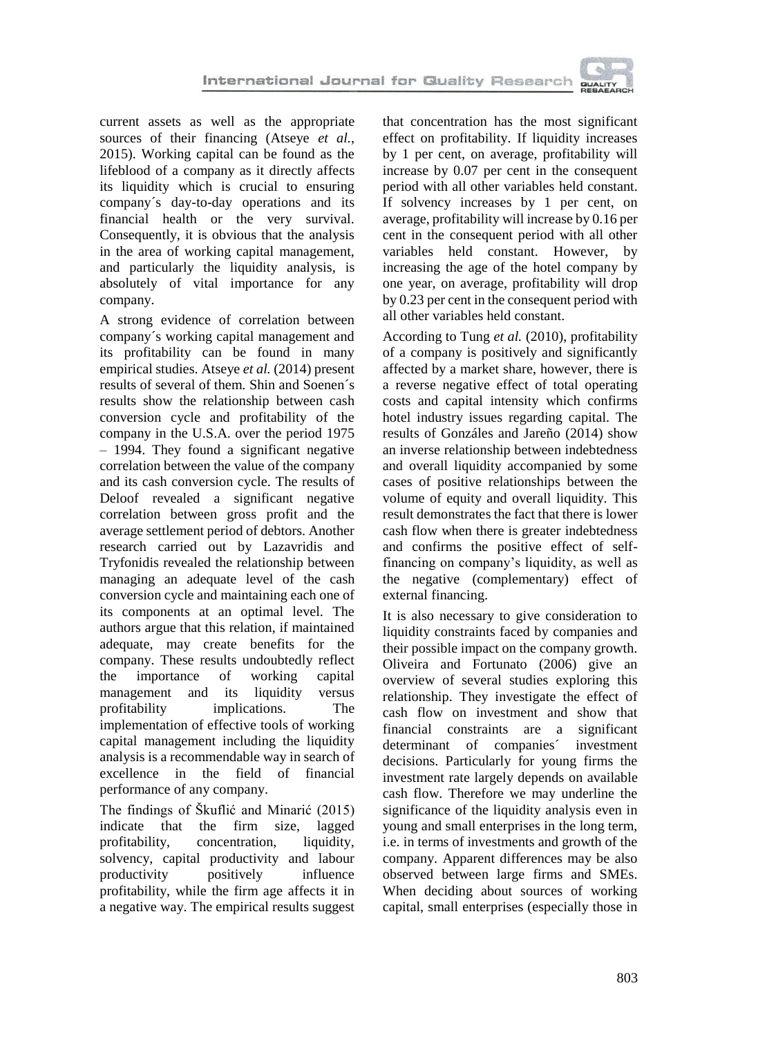

current assets as well as the appropriate sources of their financing (Atseye *et al.*, 2015). Working capital can be found as the lifeblood of a company as it directly affects its liquidity which is crucial to ensuring company´s day-to-day operations and its financial health or the very survival. Consequently, it is obvious that the analysis in the area of working capital management, and particularly the liquidity analysis, is absolutely of vital importance for any company.

A strong evidence of correlation between company´s working capital management and its profitability can be found in many empirical studies. Atseye *et al.* (2014) present results of several of them. Shin and Soenen´s results show the relationship between cash conversion cycle and profitability of the company in the U.S.A. over the period 1975 – 1994. They found a significant negative correlation between the value of the company and its cash conversion cycle. The results of Deloof revealed a significant negative correlation between gross profit and the average settlement period of debtors. Another research carried out by Lazavridis and Tryfonidis revealed the relationship between managing an adequate level of the cash conversion cycle and maintaining each one of its components at an optimal level. The authors argue that this relation, if maintained adequate, may create benefits for the company. These results undoubtedly reflect the importance of working capital management and its liquidity versus profitability implications. The implementation of effective tools of working capital management including the liquidity analysis is a recommendable way in search of excellence in the field of financial performance of any company.

The findings of Škuflić and Minarić (2015) indicate that the firm size, lagged profitability, concentration, liquidity, solvency, capital productivity and labour productivity positively influence profitability, while the firm age affects it in a negative way. The empirical results suggest

that concentration has the most significant effect on profitability. If liquidity increases by 1 per cent, on average, profitability will increase by 0.07 per cent in the consequent period with all other variables held constant. If solvency increases by 1 per cent, on average, profitability will increase by 0.16 per cent in the consequent period with all other variables held constant. However, by increasing the age of the hotel company by one year, on average, profitability will drop by 0.23 per cent in the consequent period with all other variables held constant.

According to Tung *et al.* (2010), profitability of a company is positively and significantly affected by a market share, however, there is a reverse negative effect of total operating costs and capital intensity which confirms hotel industry issues regarding capital. The results of Gonzáles and Jareño (2014) show an inverse relationship between indebtedness and overall liquidity accompanied by some cases of positive relationships between the volume of equity and overall liquidity. This result demonstrates the fact that there is lower cash flow when there is greater indebtedness and confirms the positive effect of selffinancing on company's liquidity, as well as the negative (complementary) effect of external financing.

It is also necessary to give consideration to liquidity constraints faced by companies and their possible impact on the company growth. Oliveira and Fortunato (2006) give an overview of several studies exploring this relationship. They investigate the effect of cash flow on investment and show that financial constraints are a significant determinant of companies´ investment decisions. Particularly for young firms the investment rate largely depends on available cash flow. Therefore we may underline the significance of the liquidity analysis even in young and small enterprises in the long term, i.e. in terms of investments and growth of the company. Apparent differences may be also observed between large firms and SMEs. When deciding about sources of working capital, small enterprises (especially those in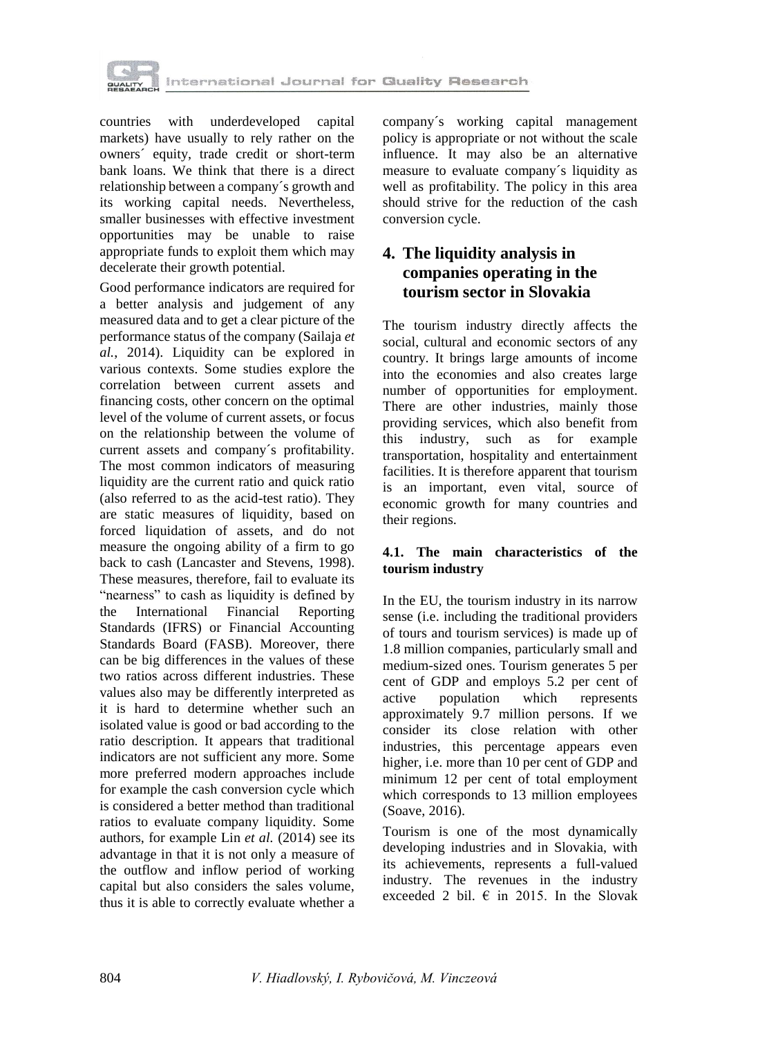

countries with underdeveloped capital markets) have usually to rely rather on the owners´ equity, trade credit or short-term bank loans. We think that there is a direct relationship between a company´s growth and its working capital needs. Nevertheless, smaller businesses with effective investment opportunities may be unable to raise appropriate funds to exploit them which may decelerate their growth potential.

Good performance indicators are required for a better analysis and judgement of any measured data and to get a clear picture of the performance status of the company (Sailaja *et al.*, 2014). Liquidity can be explored in various contexts. Some studies explore the correlation between current assets and financing costs, other concern on the optimal level of the volume of current assets, or focus on the relationship between the volume of current assets and company´s profitability. The most common indicators of measuring liquidity are the current ratio and quick ratio (also referred to as the acid-test ratio). They are static measures of liquidity, based on forced liquidation of assets, and do not measure the ongoing ability of a firm to go back to cash (Lancaster and Stevens, 1998). These measures, therefore, fail to evaluate its "nearness" to cash as liquidity is defined by the International Financial Reporting Standards (IFRS) or Financial Accounting Standards Board (FASB). Moreover, there can be big differences in the values of these two ratios across different industries. These values also may be differently interpreted as it is hard to determine whether such an isolated value is good or bad according to the ratio description. It appears that traditional indicators are not sufficient any more. Some more preferred modern approaches include for example the cash conversion cycle which is considered a better method than traditional ratios to evaluate company liquidity. Some authors, for example Lin *et al.* (2014) see its advantage in that it is not only a measure of the outflow and inflow period of working capital but also considers the sales volume, thus it is able to correctly evaluate whether a company´s working capital management policy is appropriate or not without the scale influence. It may also be an alternative measure to evaluate company´s liquidity as well as profitability. The policy in this area should strive for the reduction of the cash conversion cycle.

# **4. The liquidity analysis in companies operating in the tourism sector in Slovakia**

The tourism industry directly affects the social, cultural and economic sectors of any country. It brings large amounts of income into the economies and also creates large number of opportunities for employment. There are other industries, mainly those providing services, which also benefit from this industry, such as for example transportation, hospitality and entertainment facilities. It is therefore apparent that tourism is an important, even vital, source of economic growth for many countries and their regions.

#### **4.1. The main characteristics of the tourism industry**

In the EU, the tourism industry in its narrow sense (i.e. including the traditional providers of tours and tourism services) is made up of 1.8 million companies, particularly small and medium-sized ones. Tourism generates 5 per cent of GDP and employs 5.2 per cent of active population which represents approximately 9.7 million persons. If we consider its close relation with other industries, this percentage appears even higher, i.e. more than 10 per cent of GDP and minimum 12 per cent of total employment which corresponds to 13 million employees (Soave, 2016).

Tourism is one of the most dynamically developing industries and in Slovakia, with its achievements, represents a full-valued industry. The revenues in the industry exceeded 2 bil.  $\epsilon$  in 2015. In the Slovak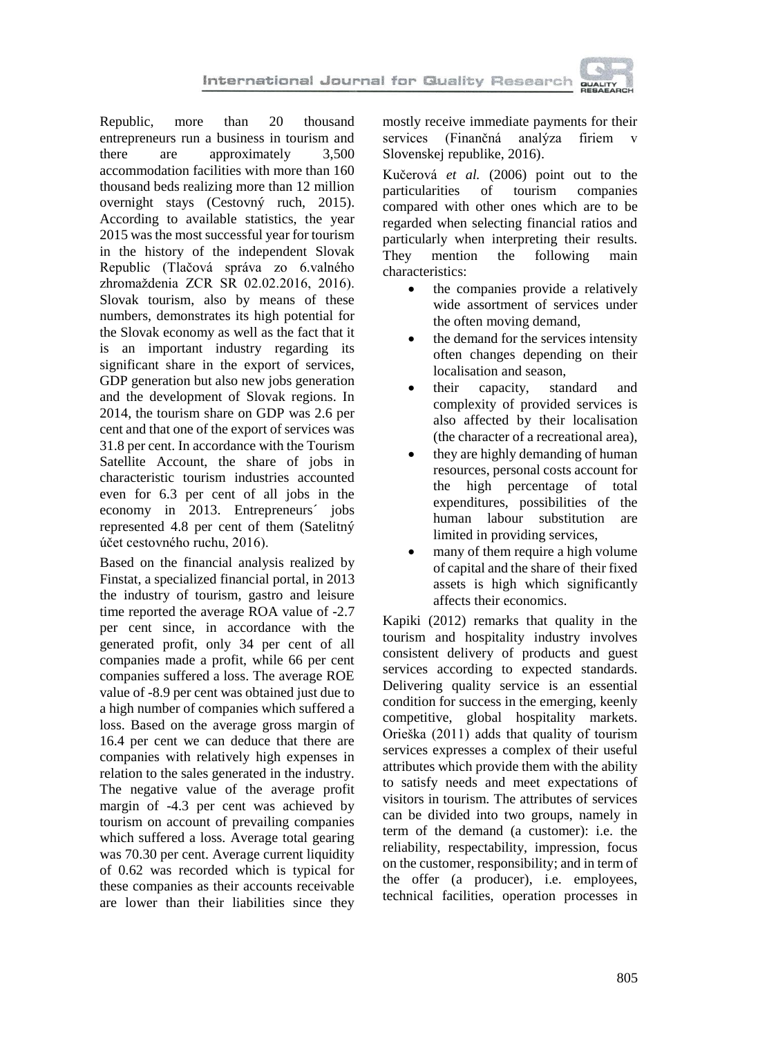

Republic, more than 20 thousand entrepreneurs run a business in tourism and there are approximately 3,500 accommodation facilities with more than 160 thousand beds realizing more than 12 million overnight stays (Cestovný ruch, 2015). According to available statistics, the year 2015 was the most successful year for tourism in the history of the independent Slovak Republic (Tlačová správa zo 6.valného zhromaždenia ZCR SR 02.02.2016, 2016). Slovak tourism, also by means of these numbers, demonstrates its high potential for the Slovak economy as well as the fact that it is an important industry regarding its significant share in the export of services, GDP generation but also new jobs generation and the development of Slovak regions. In 2014, the tourism share on GDP was 2.6 per cent and that one of the export of services was 31.8 per cent. In accordance with the Tourism Satellite Account, the share of jobs in characteristic tourism industries accounted even for 6.3 per cent of all jobs in the economy in 2013. Entrepreneurs´ jobs represented 4.8 per cent of them (Satelitný účet cestovného ruchu, 2016).

Based on the financial analysis realized by Finstat, a specialized financial portal, in 2013 the industry of tourism, gastro and leisure time reported the average ROA value of -2.7 per cent since, in accordance with the generated profit, only 34 per cent of all companies made a profit, while 66 per cent companies suffered a loss. The average ROE value of -8.9 per cent was obtained just due to a high number of companies which suffered a loss. Based on the average gross margin of 16.4 per cent we can deduce that there are companies with relatively high expenses in relation to the sales generated in the industry. The negative value of the average profit margin of -4.3 per cent was achieved by tourism on account of prevailing companies which suffered a loss. Average total gearing was 70.30 per cent. Average current liquidity of 0.62 was recorded which is typical for these companies as their accounts receivable are lower than their liabilities since they mostly receive immediate payments for their services (Finančná analýza firiem v Slovenskej republike, 2016).

Kučerová *et al.* (2006) point out to the particularities of tourism companies compared with other ones which are to be regarded when selecting financial ratios and particularly when interpreting their results. They mention the following main characteristics:

- the companies provide a relatively wide assortment of services under the often moving demand,
- the demand for the services intensity often changes depending on their localisation and season,
- their capacity, standard and complexity of provided services is also affected by their localisation (the character of a recreational area),
- they are highly demanding of human resources, personal costs account for the high percentage of total expenditures, possibilities of the human labour substitution are limited in providing services,
- many of them require a high volume of capital and the share of their fixed assets is high which significantly affects their economics.

Kapiki (2012) remarks that quality in the tourism and hospitality industry involves consistent delivery of products and guest services according to expected standards. Delivering quality service is an essential condition for success in the emerging, keenly competitive, global hospitality markets. Orieška (2011) adds that quality of tourism services expresses a complex of their useful attributes which provide them with the ability to satisfy needs and meet expectations of visitors in tourism. The attributes of services can be divided into two groups, namely in term of the demand (a customer): i.e. the reliability, respectability, impression, focus on the customer, responsibility; and in term of the offer (a producer), i.e. employees, technical facilities, operation processes in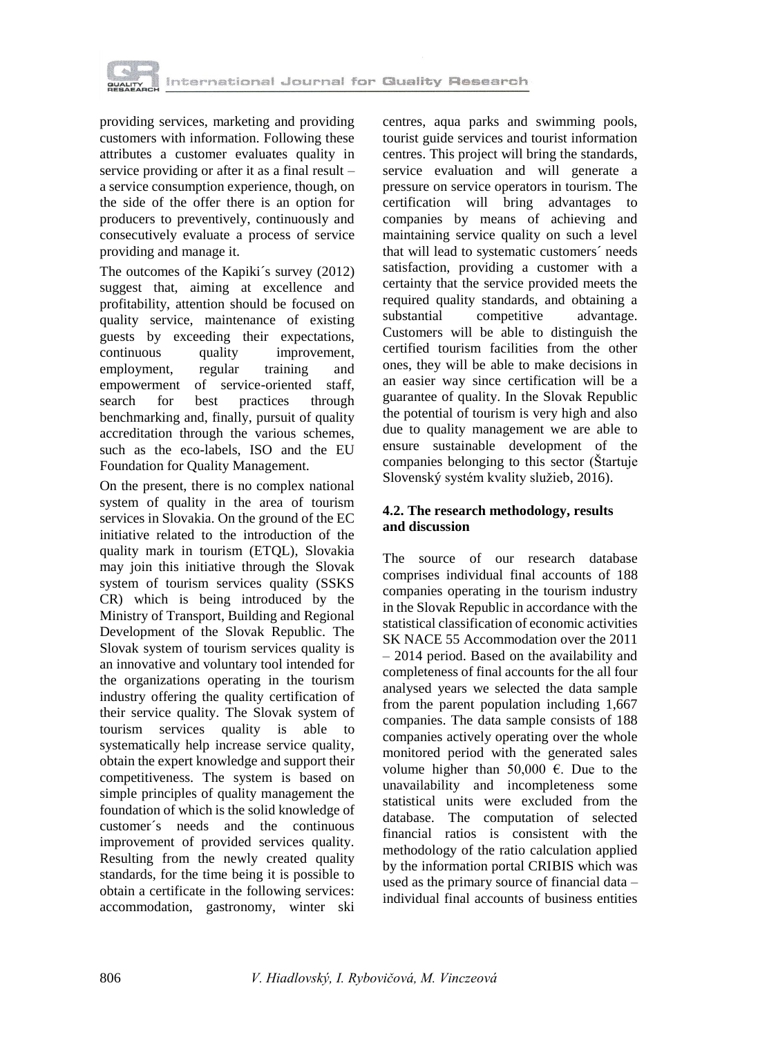

providing services, marketing and providing customers with information. Following these attributes a customer evaluates quality in service providing or after it as a final result – a service consumption experience, though, on the side of the offer there is an option for producers to preventively, continuously and consecutively evaluate a process of service providing and manage it.

The outcomes of the Kapiki´s survey (2012) suggest that, aiming at excellence and profitability, attention should be focused on quality service, maintenance of existing guests by exceeding their expectations, continuous quality improvement, employment, regular training and empowerment of service-oriented staff, search for best practices through benchmarking and, finally, pursuit of quality accreditation through the various schemes, such as the eco-labels, ISO and the EU Foundation for Quality Management.

On the present, there is no complex national system of quality in the area of tourism services in Slovakia. On the ground of the EC initiative related to the introduction of the quality mark in tourism (ETQL), Slovakia may join this initiative through the Slovak system of tourism services quality (SSKS CR) which is being introduced by the Ministry of Transport, Building and Regional Development of the Slovak Republic. The Slovak system of tourism services quality is an innovative and voluntary tool intended for the organizations operating in the tourism industry offering the quality certification of their service quality. The Slovak system of tourism services quality is able to systematically help increase service quality, obtain the expert knowledge and support their competitiveness. The system is based on simple principles of quality management the foundation of which is the solid knowledge of customer´s needs and the continuous improvement of provided services quality. Resulting from the newly created quality standards, for the time being it is possible to obtain a certificate in the following services: accommodation, gastronomy, winter ski centres, aqua parks and swimming pools, tourist guide services and tourist information centres. This project will bring the standards, service evaluation and will generate a pressure on service operators in tourism. The certification will bring advantages to companies by means of achieving and maintaining service quality on such a level that will lead to systematic customers´ needs satisfaction, providing a customer with a certainty that the service provided meets the required quality standards, and obtaining a substantial competitive advantage. Customers will be able to distinguish the certified tourism facilities from the other ones, they will be able to make decisions in an easier way since certification will be a guarantee of quality. In the Slovak Republic the potential of tourism is very high and also due to quality management we are able to ensure sustainable development of the companies belonging to this sector (Štartuje Slovenský systém kvality služieb, 2016).

### **4.2. The research methodology, results and discussion**

The source of our research database comprises individual final accounts of 188 companies operating in the tourism industry in the Slovak Republic in accordance with the statistical classification of economic activities SK NACE 55 Accommodation over the 2011 – 2014 period. Based on the availability and completeness of final accounts for the all four analysed years we selected the data sample from the parent population including 1,667 companies. The data sample consists of 188 companies actively operating over the whole monitored period with the generated sales volume higher than 50,000  $\epsilon$ . Due to the unavailability and incompleteness some statistical units were excluded from the database. The computation of selected financial ratios is consistent with the methodology of the ratio calculation applied by the information portal CRIBIS which was used as the primary source of financial data – individual final accounts of business entities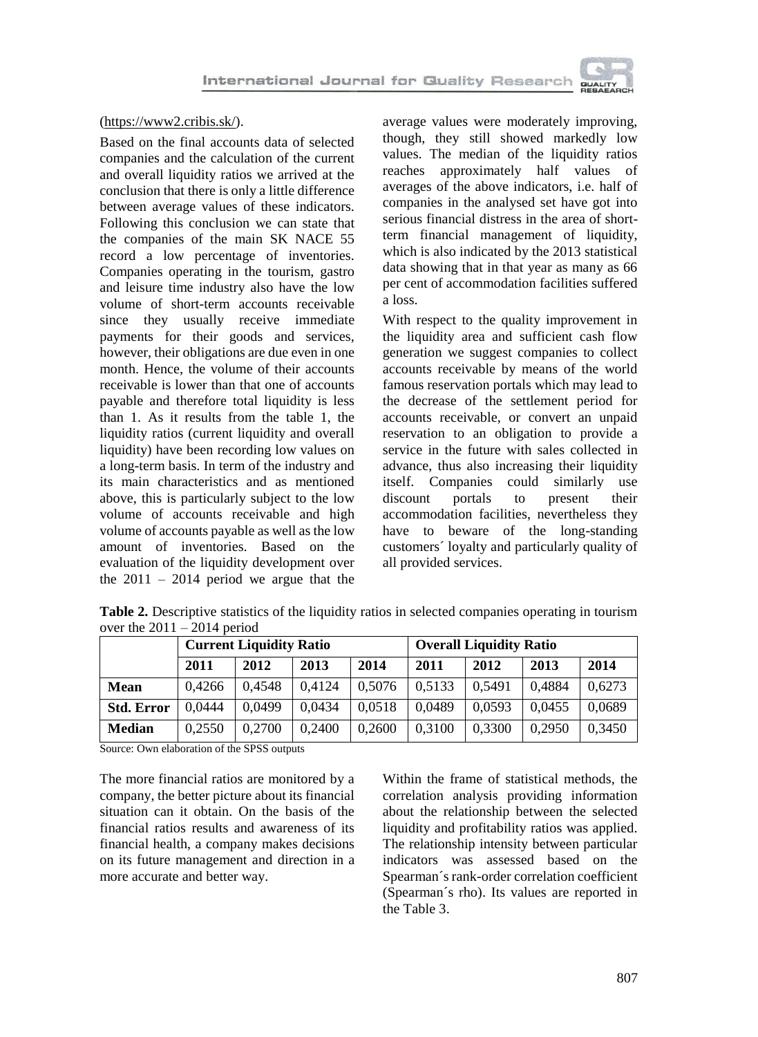

#### [\(https://www2.cribis.sk/\)](https://www2.cribis.sk/).

Based on the final accounts data of selected companies and the calculation of the current and overall liquidity ratios we arrived at the conclusion that there is only a little difference between average values of these indicators. Following this conclusion we can state that the companies of the main SK NACE 55 record a low percentage of inventories. Companies operating in the tourism, gastro and leisure time industry also have the low volume of short-term accounts receivable since they usually receive immediate payments for their goods and services, however, their obligations are due even in one month. Hence, the volume of their accounts receivable is lower than that one of accounts payable and therefore total liquidity is less than 1. As it results from the table 1, the liquidity ratios (current liquidity and overall liquidity) have been recording low values on a long-term basis. In term of the industry and its main characteristics and as mentioned above, this is particularly subject to the low volume of accounts receivable and high volume of accounts payable as well as the low amount of inventories. Based on the evaluation of the liquidity development over the  $2011 - 2014$  period we argue that the

average values were moderately improving, though, they still showed markedly low values. The median of the liquidity ratios reaches approximately half values of averages of the above indicators, i.e. half of companies in the analysed set have got into serious financial distress in the area of shortterm financial management of liquidity, which is also indicated by the 2013 statistical data showing that in that year as many as 66 per cent of accommodation facilities suffered a loss.

With respect to the quality improvement in the liquidity area and sufficient cash flow generation we suggest companies to collect accounts receivable by means of the world famous reservation portals which may lead to the decrease of the settlement period for accounts receivable, or convert an unpaid reservation to an obligation to provide a service in the future with sales collected in advance, thus also increasing their liquidity itself. Companies could similarly use discount portals to present their accommodation facilities, nevertheless they have to beware of the long-standing customers´ loyalty and particularly quality of all provided services.

|                   |        | <b>Current Liquidity Ratio</b> |        |        | <b>Overall Liquidity Ratio</b> |        |        |        |  |  |
|-------------------|--------|--------------------------------|--------|--------|--------------------------------|--------|--------|--------|--|--|
|                   | 2011   | 2012                           | 2013   | 2014   | 2011                           | 2012   | 2013   | 2014   |  |  |
| <b>Mean</b>       | 0.4266 | 0.4548                         | 0.4124 | 0,5076 | 0.5133                         | 0.5491 | 0.4884 | 0.6273 |  |  |
| <b>Std. Error</b> | 0.0444 | 0.0499                         | 0.0434 | 0.0518 | 0.0489                         | 0.0593 | 0.0455 | 0.0689 |  |  |
| <b>Median</b>     | 0.2550 | 0.2700                         | 0.2400 | 0.2600 | 0.3100                         | 0,3300 | 0.2950 | 0.3450 |  |  |

**Table 2.** Descriptive statistics of the liquidity ratios in selected companies operating in tourism over the  $2011 - 2014$  period

Source: Own elaboration of the SPSS outputs

The more financial ratios are monitored by a company, the better picture about its financial situation can it obtain. On the basis of the financial ratios results and awareness of its financial health, a company makes decisions on its future management and direction in a more accurate and better way.

Within the frame of statistical methods, the correlation analysis providing information about the relationship between the selected liquidity and profitability ratios was applied. The relationship intensity between particular indicators was assessed based on the Spearman´s rank-order correlation coefficient (Spearman´s rho). Its values are reported in the Table 3.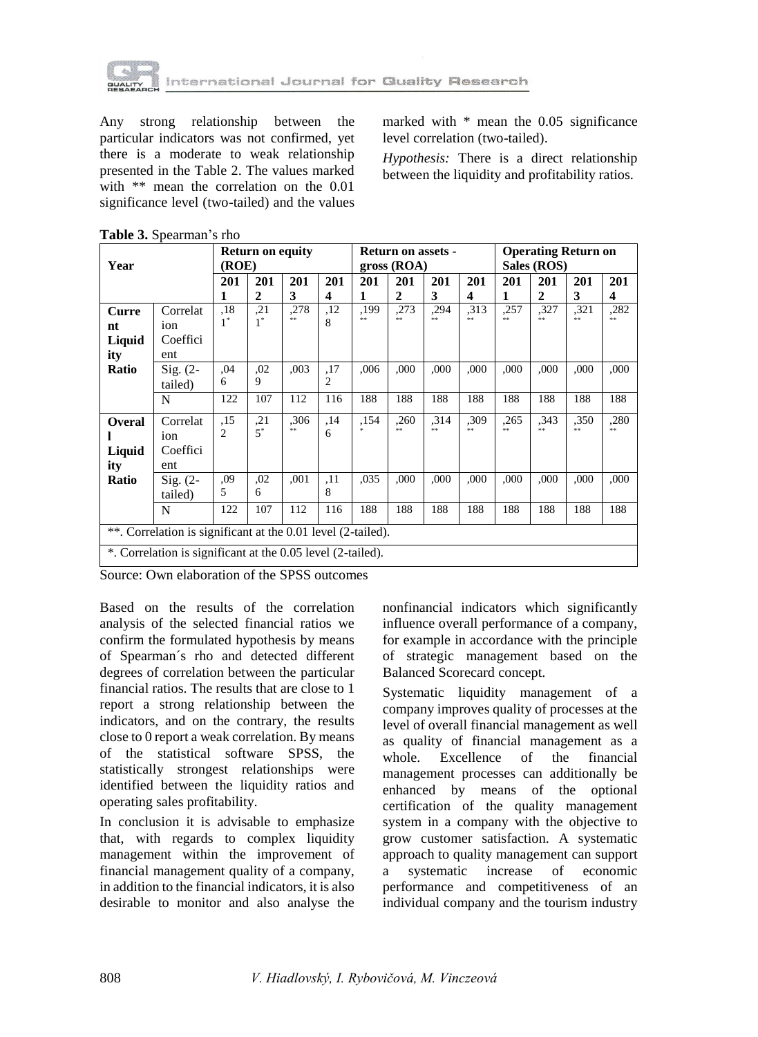

Any strong relationship between the particular indicators was not confirmed, yet there is a moderate to weak relationship presented in the Table 2. The values marked with \*\* mean the correlation on the 0.01 significance level (two-tailed) and the values

marked with \* mean the 0.05 significance level correlation (two-tailed).

*Hypothesis:* There is a direct relationship between the liquidity and profitability ratios.

| Year                                                         |            | <b>Return on equity</b><br>(ROE) |                     |            |          | <b>Return on assets -</b><br>gross (ROA) |                     |            |                   | <b>Operating Return on</b><br>Sales (ROS) |                     |            |            |
|--------------------------------------------------------------|------------|----------------------------------|---------------------|------------|----------|------------------------------------------|---------------------|------------|-------------------|-------------------------------------------|---------------------|------------|------------|
|                                                              |            | 201<br>1                         | 201<br>$\mathbf{2}$ | 201<br>3   | 201<br>4 | 201<br>1                                 | 201<br>$\mathbf{2}$ | 201<br>3   | 201<br>4          | 201<br>1                                  | 201<br>$\mathbf{2}$ | 201<br>3   | 201<br>4   |
| Curre                                                        | Correlat   | .18<br>$1^*$                     | ,21<br>$1^*$        | ,278<br>** | ,12      | ,199<br>**                               | ,273<br>**          | ,294<br>** | ,313<br>$\approx$ | ,257<br>**                                | ,327<br>**          | ,321<br>** | ,282<br>** |
| nt                                                           | ion        |                                  |                     |            | 8        |                                          |                     |            |                   |                                           |                     |            |            |
| Liquid                                                       | Coeffici   |                                  |                     |            |          |                                          |                     |            |                   |                                           |                     |            |            |
| ity                                                          | ent        |                                  |                     |            |          |                                          |                     |            |                   |                                           |                     |            |            |
| Ratio                                                        | $Sig. (2-$ | .04                              | ,02                 | ,003       | ,17      | ,006                                     | .000                | ,000       | ,000              | ,000                                      | ,000                | ,000       | ,000       |
|                                                              | tailed)    | 6                                | 9                   |            | 2        |                                          |                     |            |                   |                                           |                     |            |            |
|                                                              | N          | 122                              | 107                 | 112        | 116      | 188                                      | 188                 | 188        | 188               | 188                                       | 188                 | 188        | 188        |
| <b>Overal</b>                                                | Correlat   | ,15                              | ,21                 | .306       | ,14      | ,154                                     | .260                | .314       | ,309              | .265                                      | .343                | ,350       | ,280       |
|                                                              | ion        | 2                                | $5^*$               | **         | 6        | ż                                        | **                  | **         | $\pm$ $\pm$       | **                                        | **                  | $* *$      | **         |
| Liquid                                                       | Coeffici   |                                  |                     |            |          |                                          |                     |            |                   |                                           |                     |            |            |
| ity                                                          | ent        |                                  |                     |            |          |                                          |                     |            |                   |                                           |                     |            |            |
| Ratio                                                        | $Sig. (2-$ | ,09                              | ,02                 | ,001       | ,11      | .035                                     | ,000                | ,000       | ,000              | ,000                                      | ,000                | ,000       | ,000       |
|                                                              | tailed)    | 5                                | 6                   |            | 8        |                                          |                     |            |                   |                                           |                     |            |            |
|                                                              | N          | 122                              | 107                 | 112        | 116      | 188                                      | 188                 | 188        | 188               | 188                                       | 188                 | 188        | 188        |
| **. Correlation is significant at the 0.01 level (2-tailed). |            |                                  |                     |            |          |                                          |                     |            |                   |                                           |                     |            |            |
| *. Correlation is significant at the 0.05 level (2-tailed).  |            |                                  |                     |            |          |                                          |                     |            |                   |                                           |                     |            |            |

| Table 3. Spearman's rho |  |
|-------------------------|--|
|-------------------------|--|

Source: Own elaboration of the SPSS outcomes

Based on the results of the correlation analysis of the selected financial ratios we confirm the formulated hypothesis by means of Spearman´s rho and detected different degrees of correlation between the particular financial ratios. The results that are close to 1 report a strong relationship between the indicators, and on the contrary, the results close to 0 report a weak correlation. By means of the statistical software SPSS, the statistically strongest relationships were identified between the liquidity ratios and operating sales profitability.

In conclusion it is advisable to emphasize that, with regards to complex liquidity management within the improvement of financial management quality of a company, in addition to the financial indicators, it is also desirable to monitor and also analyse the

nonfinancial indicators which significantly influence overall performance of a company, for example in accordance with the principle of strategic management based on the Balanced Scorecard concept.

Systematic liquidity management of a company improves quality of processes at the level of overall financial management as well as quality of financial management as a whole. Excellence of the financial management processes can additionally be enhanced by means of the optional certification of the quality management system in a company with the objective to grow customer satisfaction. A systematic approach to quality management can support a systematic increase of economic performance and competitiveness of an individual company and the tourism industry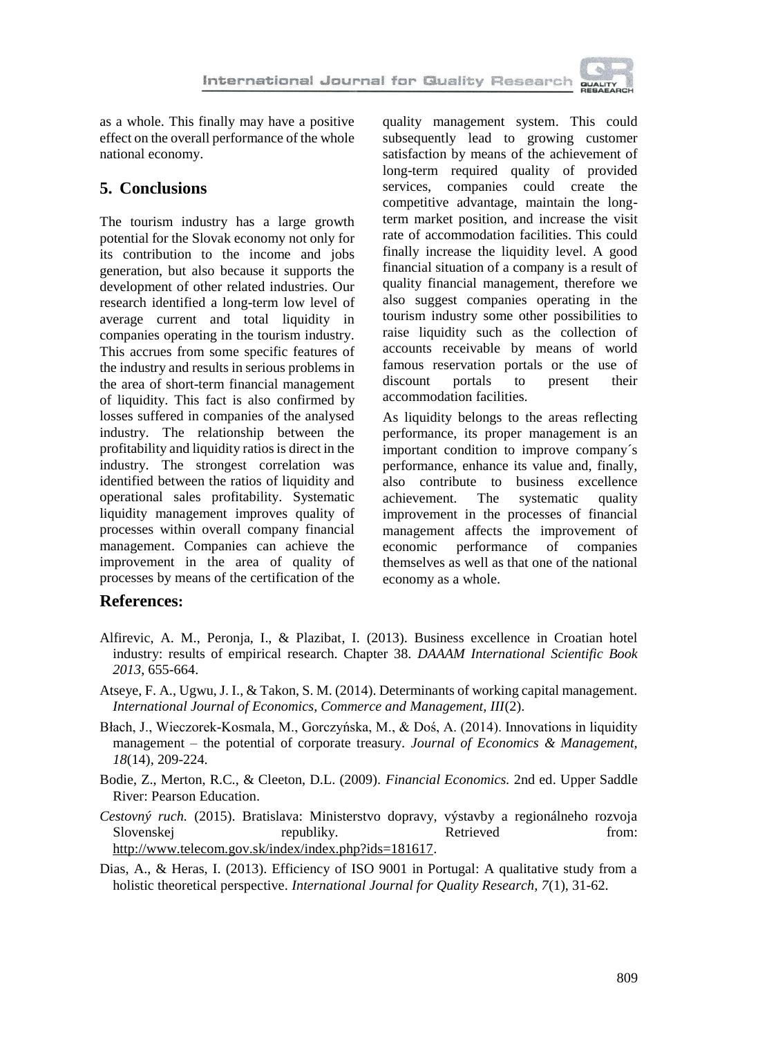

as a whole. This finally may have a positive effect on the overall performance of the whole national economy.

### **5. Conclusions**

The tourism industry has a large growth potential for the Slovak economy not only for its contribution to the income and jobs generation, but also because it supports the development of other related industries. Our research identified a long-term low level of average current and total liquidity in companies operating in the tourism industry. This accrues from some specific features of the industry and results in serious problems in the area of short-term financial management of liquidity. This fact is also confirmed by losses suffered in companies of the analysed industry. The relationship between the profitability and liquidity ratios is direct in the industry. The strongest correlation was identified between the ratios of liquidity and operational sales profitability. Systematic liquidity management improves quality of processes within overall company financial management. Companies can achieve the improvement in the area of quality of processes by means of the certification of the quality management system. This could subsequently lead to growing customer satisfaction by means of the achievement of long-term required quality of provided services, companies could create the competitive advantage, maintain the longterm market position, and increase the visit rate of accommodation facilities. This could finally increase the liquidity level. A good financial situation of a company is a result of quality financial management, therefore we also suggest companies operating in the tourism industry some other possibilities to raise liquidity such as the collection of accounts receivable by means of world famous reservation portals or the use of discount portals to present their accommodation facilities.

As liquidity belongs to the areas reflecting performance, its proper management is an important condition to improve company´s performance, enhance its value and, finally, also contribute to business excellence achievement. The systematic quality improvement in the processes of financial management affects the improvement of economic performance of companies themselves as well as that one of the national economy as a whole.

### **References:**

- Alfirevic, A. M., Peronja, I., & Plazibat, I. (2013). Business excellence in Croatian hotel industry: results of empirical research. Chapter 38. *DAAAM International Scientific Book 2013*, 655-664.
- Atseye, F. A., Ugwu, J. I., & Takon, S. M. (2014). Determinants of working capital management. *International Journal of Economics, Commerce and Management, III*(2).
- Błach, J., Wieczorek-Kosmala, M., Gorczyńska, M., & Doś, A. (2014). Innovations in liquidity management – the potential of corporate treasury. *Journal of Economics & Management, 18*(14)*,* 209-224.
- Bodie, Z., Merton, R.C., & Cleeton, D.L. (2009). *Financial Economics.* 2nd ed. Upper Saddle River: Pearson Education.
- *Cestovný ruch.* (2015). Bratislava: Ministerstvo dopravy, výstavby a regionálneho rozvoja Slovenskej republiky. Retrieved from: http://www.telecom.gov.sk/index/index.php?ids=181617.
- Dias, A., & Heras, I. (2013). Efficiency of ISO 9001 in Portugal: A qualitative study from a holistic theoretical perspective. *International Journal for Quality Research, 7*(1), 31-62.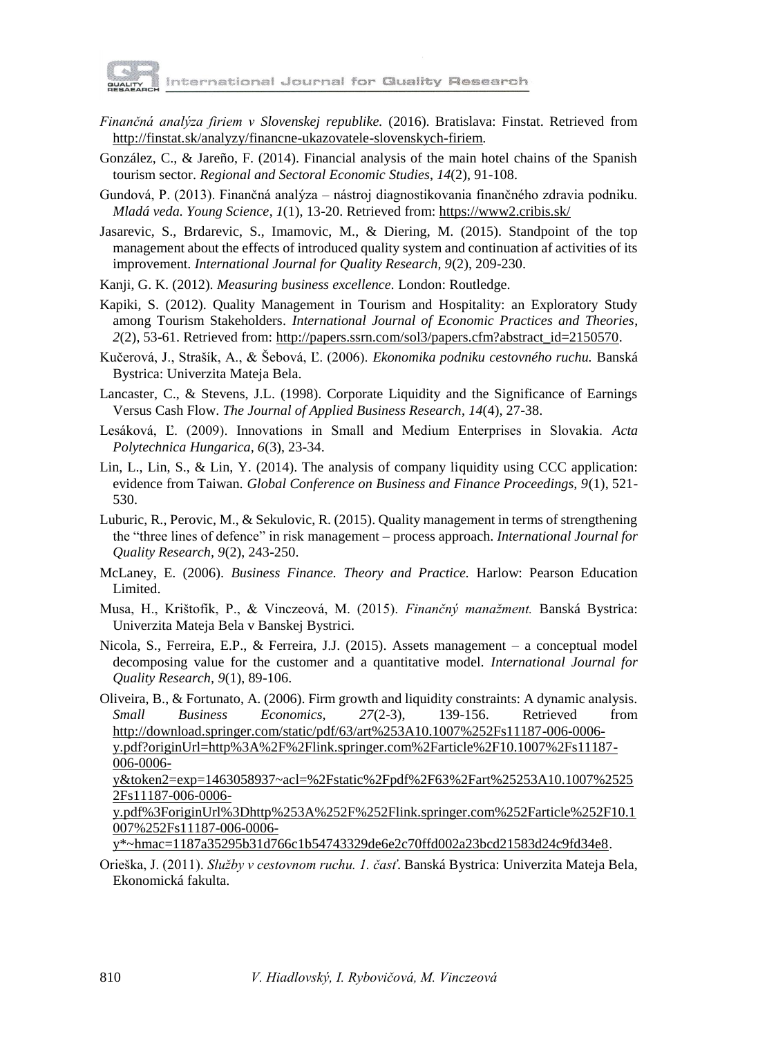

- *Finančná analýza firiem v Slovenskej republike.* (2016). Bratislava: Finstat. Retrieved from http://finstat.sk/analyzy/financne-ukazovatele-slovenskych-firiem.
- González, C., & Jareño, F. (2014). Financial analysis of the main hotel chains of the Spanish tourism sector. *Regional and Sectoral Economic Studies*, *14*(2), 91-108.
- Gundová, P. (2013). Finančná analýza nástroj diagnostikovania finančného zdravia podniku. *Mladá veda. Young Science*, *1*(1), 13-20. Retrieved from: https://www2.cribis.sk/
- Jasarevic, S., Brdarevic, S., Imamovic, M., & Diering, M. (2015). Standpoint of the top management about the effects of introduced quality system and continuation af activities of its improvement. *International Journal for Quality Research, 9*(2), 209-230.
- Kanji, G. K. (2012)*. Measuring business excellence.* London: Routledge.
- Kapiki, S. (2012). Quality Management in Tourism and Hospitality: an Exploratory Study among Tourism Stakeholders. *International Journal of Economic Practices and Theories*, *2*(2), 53-61. Retrieved from: http://papers.ssrn.com/sol3/papers.cfm?abstract\_id=2150570.
- Kučerová, J., Strašík, A., & Šebová, Ľ. (2006). *Ekonomika podniku cestovného ruchu.* Banská Bystrica: Univerzita Mateja Bela.
- Lancaster, C., & Stevens, J.L. (1998). Corporate Liquidity and the Significance of Earnings Versus Cash Flow. *The Journal of Applied Business Research*, *14*(4), 27-38.
- Lesáková, Ľ. (2009). Innovations in Small and Medium Enterprises in Slovakia. *Acta Polytechnica Hungarica, 6*(3), 23-34.
- Lin, L., Lin, S., & Lin, Y. (2014). The analysis of company liquidity using CCC application: evidence from Taiwan. *Global Conference on Business and Finance Proceedings, 9*(1), 521- 530.
- Luburic, R., Perovic, M., & Sekulovic, R. (2015). Quality management in terms of strengthening the "three lines of defence" in risk management – process approach. *International Journal for Quality Research, 9*(2), 243-250.
- McLaney, E. (2006). *Business Finance. Theory and Practice.* Harlow: Pearson Education Limited.
- Musa, H., Krištofík, P., & Vinczeová, M. (2015). *Finančný manažment.* Banská Bystrica: Univerzita Mateja Bela v Banskej Bystrici.
- Nicola, S., Ferreira, E.P., & Ferreira, J.J. (2015). Assets management a conceptual model decomposing value for the customer and a quantitative model. *International Journal for Quality Research, 9*(1), 89-106.
- Oliveira, B., & Fortunato, A. (2006). Firm growth and liquidity constraints: A dynamic analysis. *Small Business Economics, 27*(2-3), 139-156. Retrieved from http://download.springer.com/static/pdf/63/art%253A10.1007%252Fs11187-006-0006 y.pdf?originUrl=http%3A%2F%2Flink.springer.com%2Farticle%2F10.1007%2Fs11187- 006-0006-

y&token2=exp=1463058937~acl=%2Fstatic%2Fpdf%2F63%2Fart%25253A10.1007%2525 2Fs11187-006-0006-

y.pdf%3ForiginUrl%3Dhttp%253A%252F%252Flink.springer.com%252Farticle%252F10.1 007%252Fs11187-006-0006-

y\*~hmac=1187a35295b31d766c1b54743329de6e2c70ffd002a23bcd21583d24c9fd34e8.

Orieška, J. (2011). *Služby v cestovnom ruchu. 1. časť*. Banská Bystrica: Univerzita Mateja Bela, Ekonomická fakulta.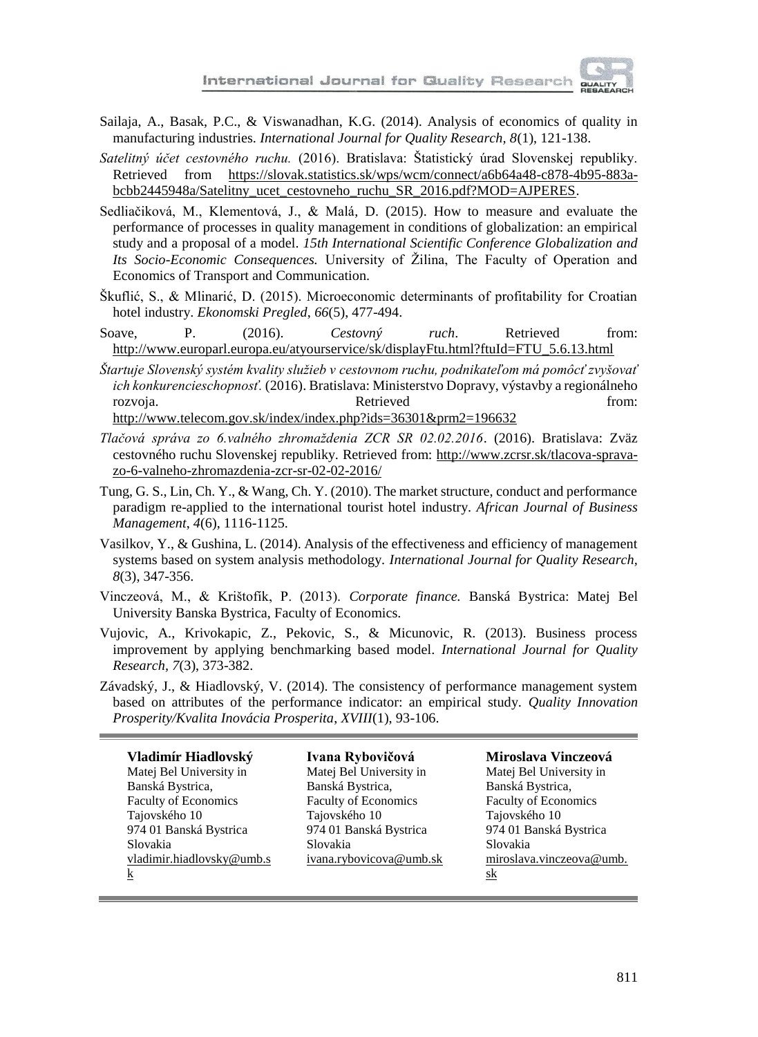- Sailaja, A., Basak, P.C., & Viswanadhan, K.G. (2014). Analysis of economics of quality in manufacturing industries. *International Journal for Quality Research, 8*(1), 121-138.
- *Satelitný účet cestovného ruchu.* (2016). Bratislava: Štatistický úrad Slovenskej republiky. Retrieved from https://slovak.statistics.sk/wps/wcm/connect/a6b64a48-c878-4b95-883abcbb2445948a/Satelitny\_ucet\_cestovneho\_ruchu\_SR\_2016.pdf?MOD=AJPERES.
- Sedliačiková, M., Klementová, J., & Malá, D. (2015). How to measure and evaluate the performance of processes in quality management in conditions of globalization: an empirical study and a proposal of a model. *15th International Scientific Conference Globalization and Its Socio-Economic Consequences.* University of Žilina, The Faculty of Operation and Economics of Transport and Communication.
- Škuflić, S., & Mlinarić, D. (2015). Microeconomic determinants of profitability for Croatian hotel industry. *Ekonomski Pregled*, *66*(5), 477-494.
- Soave, P. (2016). *Cestovný ruch*. Retrieved from: http://www.europarl.europa.eu/atyourservice/sk/displayFtu.html?ftuId=FTU\_5.6.13.html
- *Štartuje Slovenský systém kvality služieb v cestovnom ruchu, podnikateľom má pomôcť zvyšovať ich konkurencieschopnosť.* (2016). Bratislava: Ministerstvo Dopravy, výstavby a regionálneho rozvoja. Retrieved from: http://www.telecom.gov.sk/index/index.php?ids=36301&prm2=196632
- *Tlačová správa zo 6.valného zhromaždenia ZCR SR 02.02.2016*. (2016). Bratislava: Zväz cestovného ruchu Slovenskej republiky. Retrieved from: http://www.zcrsr.sk/tlacova-spravazo-6-valneho-zhromazdenia-zcr-sr-02-02-2016/
- Tung, G. S., Lin, Ch. Y., & Wang, Ch. Y. (2010). The market structure, conduct and performance paradigm re-applied to the international tourist hotel industry. *African Journal of Business Management*, *4*(6), 1116-1125.
- Vasilkov, Y., & Gushina, L. (2014). Analysis of the effectiveness and efficiency of management systems based on system analysis methodology. *International Journal for Quality Research, 8*(3), 347-356.
- Vinczeová, M., & Krištofík, P. (2013). *Corporate finance.* Banská Bystrica: Matej Bel University Banska Bystrica, Faculty of Economics.
- Vujovic, A., Krivokapic, Z., Pekovic, S., & Micunovic, R. (2013). Business process improvement by applying benchmarking based model. *International Journal for Quality Research, 7*(3), 373-382.
- Závadský, J., & Hiadlovský, V. (2014). The consistency of performance management system based on attributes of the performance indicator: an empirical study. *Quality Innovation Prosperity/Kvalita Inovácia Prosperita*, *XVIII*(1), 93-106.

| Vladimír Hiadlovský         | Ivana Rybovičová            | Miroslava Vinczeová         |
|-----------------------------|-----------------------------|-----------------------------|
| Matej Bel University in     | Matej Bel University in     | Matej Bel University in     |
| Banská Bystrica,            | Banská Bystrica,            | Banská Bystrica,            |
| <b>Faculty of Economics</b> | <b>Faculty of Economics</b> | <b>Faculty of Economics</b> |
| Tajovského 10               | Tajovského 10               | Tajovského 10               |
| 974 01 Banská Bystrica      | 974 01 Banská Bystrica      | 974 01 Banská Bystrica      |
| Slovakia                    | Slovakia                    | Slovakia                    |
| vladimir.hiadlovsky@umb.s   | ivana.rybovicova@umb.sk     | miroslava.vinczeova@umb.    |
| $\bf k$                     |                             | sk                          |